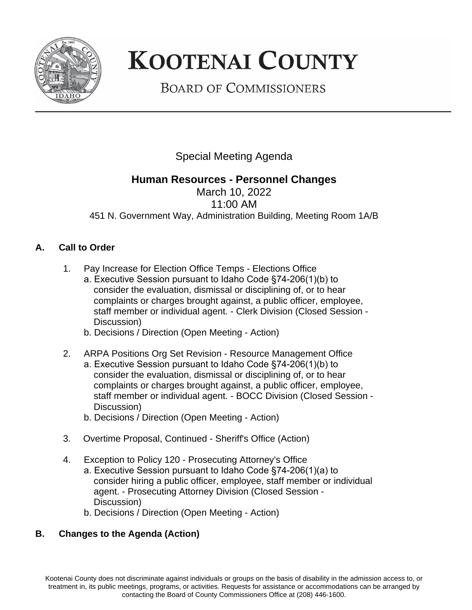

# **KOOTENAI COUNTY**

**BOARD OF COMMISSIONERS** 

Special Meeting Agenda

## **Human Resources - Personnel Changes**

March 10, 2022 11:00 AM 451 N. Government Way, Administration Building, Meeting Room 1A/B

## **A. Call to Order**

- 1. Pay Increase for Election Office Temps Elections Office
	- a. Executive Session pursuant to Idaho Code §74-206(1)(b) to consider the evaluation, dismissal or disciplining of, or to hear complaints or charges brought against, a public officer, employee, staff member or individual agent. - Clerk Division (Closed Session - Discussion)
	- b. Decisions / Direction (Open Meeting Action)
- 2. ARPA Positions Org Set Revision Resource Management Office
	- a. Executive Session pursuant to Idaho Code §74-206(1)(b) to consider the evaluation, dismissal or disciplining of, or to hear complaints or charges brought against, a public officer, employee, staff member or individual agent. - BOCC Division (Closed Session - Discussion)
		- b. Decisions / Direction (Open Meeting Action)
- 3. Overtime Proposal, Continued Sheriff's Office (Action)
- 4. Exception to Policy 120 Prosecuting Attorney's Office
	- a. Executive Session pursuant to Idaho Code §74-206(1)(a) to consider hiring a public officer, employee, staff member or individual agent. - Prosecuting Attorney Division (Closed Session - Discussion)
	- b. Decisions / Direction (Open Meeting Action)

#### **B. Changes to the Agenda (Action)**